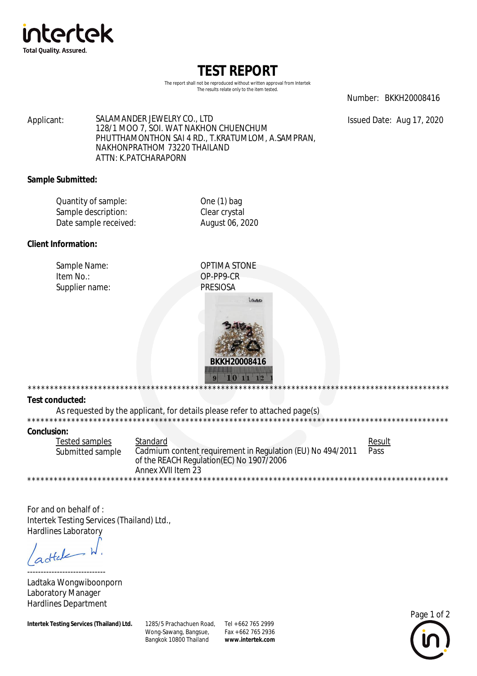

# **TEST REPORT**

The report shall not be reproduced without written approval from Intertek The results relate only to the item tested.

Number: BKKH20008416

Issued Date: Aug 17, 2020

SALAMANDER JEWELRY CO., LTD Applicant: 128/1 MOO 7, SOI. WAT NAKHON CHUENCHUM PHUTTHAMONTHON SAI 4 RD., T.KRATUMLOM, A.SAMPRAN, NAKHONPRATHOM 73220 THAILAND ATTN: K.PATCHARAPORN

#### **Sample Submitted:**

| Quantity of sample:   | One $(1)$ bag   |
|-----------------------|-----------------|
| Sample description:   | Clear crystal   |
| Date sample received: | August 06, 2020 |

## **Client Information:**

Sample Name: Item No.: Supplier name: **OPTIMA STONE** OP-PP9-CR **PRESIOSA** 



\*\*\*\*\*\*\*\*\*\*\*\* **Test conducted:** 

As requested by the applicant, for details please refer to attached page(s)

## **Conclusion:**

| Tested samples   | Standard                                                   | Result                     |  |
|------------------|------------------------------------------------------------|----------------------------|--|
| Submitted sample | Cadmium content requirement in Regulation (EU) No 494/2011 | Pass                       |  |
|                  | of the REACH Regulation(EC) No 1907/2006                   |                            |  |
|                  | Annex XVII Item 23                                         |                            |  |
|                  |                                                            | ************************** |  |

For and on behalf of : Intertek Testing Services (Thailand) Ltd., **Hardlines Laboratory** 

dtale

Ladtaka Wongwiboonporn Laboratory Manager **Hardlines Department** 

**Intertek Testing Services (Thailand) Ltd.** 

1285/5 Prachachuen Road, Tel + 662 765 2999 Wong-Sawang, Bangsue, Bangkok 10800 Thailand

Fax + 662 765 2936 www.intertek.com